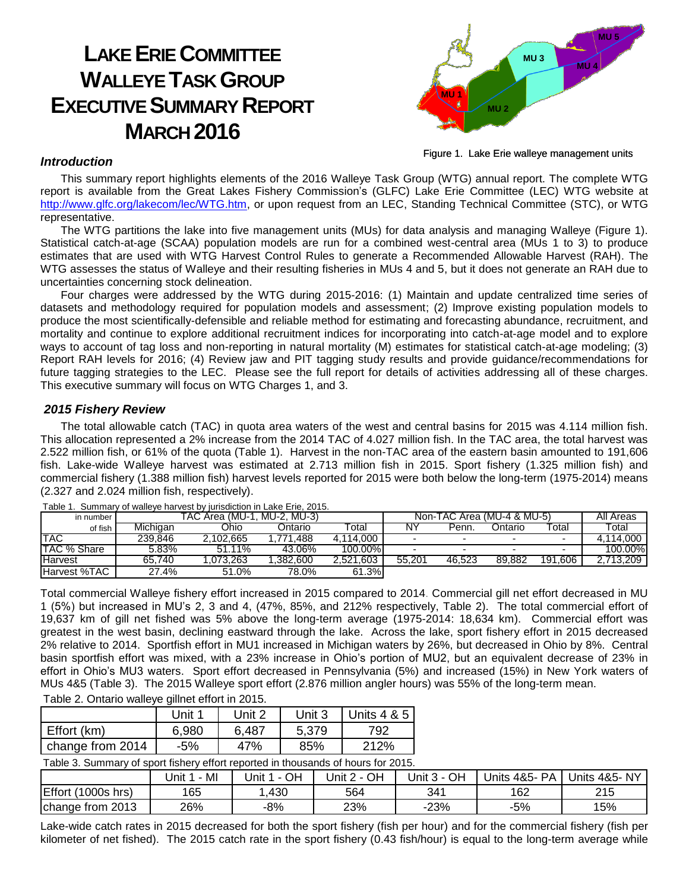# **LAKE ERIE COMMITTEE WALLEYE TASK GROUP EXECUTIVE SUMMARY REPORT MARCH 2016**



Figure 1. Lake Erie walleye management units

#### *Introduction*

This summary report highlights elements of the 2016 Walleye Task Group (WTG) annual report. The complete WTG report is available from the Great Lakes Fishery Commission's (GLFC) Lake Erie Committee (LEC) WTG website at [http://www.glfc.org/lakecom/lec/WTG.htm,](http://www.glfc.org/lakecom/lec/WTG.htm) or upon request from an LEC, Standing Technical Committee (STC), or WTG representative.

The WTG partitions the lake into five management units (MUs) for data analysis and managing Walleye (Figure 1). Statistical catch-at-age (SCAA) population models are run for a combined west-central area (MUs 1 to 3) to produce estimates that are used with WTG Harvest Control Rules to generate a Recommended Allowable Harvest (RAH). The WTG assesses the status of Walleye and their resulting fisheries in MUs 4 and 5, but it does not generate an RAH due to uncertainties concerning stock delineation.

Four charges were addressed by the WTG during 2015-2016: (1) Maintain and update centralized time series of datasets and methodology required for population models and assessment; (2) Improve existing population models to produce the most scientifically-defensible and reliable method for estimating and forecasting abundance, recruitment, and mortality and continue to explore additional recruitment indices for incorporating into catch-at-age model and to explore ways to account of tag loss and non-reporting in natural mortality (M) estimates for statistical catch-at-age modeling; (3) Report RAH levels for 2016; (4) Review jaw and PIT tagging study results and provide guidance/recommendations for future tagging strategies to the LEC. Please see the full report for details of activities addressing all of these charges. This executive summary will focus on WTG Charges 1, and 3.

## *2015 Fishery Review*

The total allowable catch (TAC) in quota area waters of the west and central basins for 2015 was 4.114 million fish. This allocation represented a 2% increase from the 2014 TAC of 4.027 million fish. In the TAC area, the total harvest was 2.522 million fish, or 61% of the quota (Table 1). Harvest in the non-TAC area of the eastern basin amounted to 191,606 fish. Lake-wide Walleye harvest was estimated at 2.713 million fish in 2015. Sport fishery (1.325 million fish) and commercial fishery (1.388 million fish) harvest levels reported for 2015 were both below the long-term (1975-2014) means (2.327 and 2.024 million fish, respectively).

| in number      |          | Area (MU-1<br>"AC | . MU-2. MU-3) |          | Non-TAC Area (MU-4 & MU-5) |        |         |                             | All Areas |
|----------------|----------|-------------------|---------------|----------|----------------------------|--------|---------|-----------------------------|-----------|
| of fish        | Michigan | Ohio              | )ntario       | Total    | <b>NY</b>                  | Penn.  | Ontario | $\overline{\mathrm{total}}$ | Total     |
| TAC            | 239.846  | .102.665          | .488          | .114.000 |                            |        |         |                             | 14.000    |
| TAC % Share    | 5.83%    | 51.11%            | 43.06%        | 100.00%  |                            |        |         | -                           | 100.00%   |
| <b>Harvest</b> | 65.740   | .073.263          | .382.600      | .521.603 | 55.201                     | 46.523 | 89.882  | .606<br>191                 | 713.209   |
| Harvest %TAC   | 27.4%    | 51.0%             | 78.0%         | 61.3%    |                            |        |         |                             |           |

Table 1. Summary of walleye harvest by jurisdiction in Lake Erie, 2015.

Total commercial Walleye fishery effort increased in 2015 compared to 2014. Commercial gill net effort decreased in MU 1 (5%) but increased in MU's 2, 3 and 4, (47%, 85%, and 212% respectively, Table 2). The total commercial effort of 19,637 km of gill net fished was 5% above the long-term average (1975-2014: 18,634 km). Commercial effort was greatest in the west basin, declining eastward through the lake. Across the lake, sport fishery effort in 2015 decreased 2% relative to 2014. Sportfish effort in MU1 increased in Michigan waters by 26%, but decreased in Ohio by 8%. Central basin sportfish effort was mixed, with a 23% increase in Ohio's portion of MU2, but an equivalent decrease of 23% in effort in Ohio's MU3 waters. Sport effort decreased in Pennsylvania (5%) and increased (15%) in New York waters of MUs 4&5 (Table 3). The 2015 Walleye sport effort (2.876 million angler hours) was 55% of the long-term mean.

| Table 2. Ontario walleye gillnet effort in 2015. |  |  |
|--------------------------------------------------|--|--|
|                                                  |  |  |

|                  | Unit 1 | Unit 2 | Unit 3 | Units 4 & 5 |
|------------------|--------|--------|--------|-------------|
| Effort (km)      | 6,980  | 6,487  | 5,379  | 792         |
| change from 2014 | -5%    | 47%    | 85%    | 212%        |

Table 3. Summary of sport fishery effort reported in thousands of hours for 2015.

|                                | MI<br>Jnit | OН<br>Unit<br>$\overline{\phantom{0}}$ | OH<br>Jnit 2<br>$\overline{\phantom{a}}$ | OН<br>Jnit 3 | PA<br>4&5-<br>Units | .s 4&5- NY<br>Units |
|--------------------------------|------------|----------------------------------------|------------------------------------------|--------------|---------------------|---------------------|
| <b>Effort</b><br>$(1000s$ hrs) | 165        | ,430                                   | 564                                      | 341          | 162                 | 215                 |
| 2013<br>change from            | 26%        | $-8%$                                  | 23%                                      | $-23%$       | -5%                 | 15%                 |

Lake-wide catch rates in 2015 decreased for both the sport fishery (fish per hour) and for the commercial fishery (fish per kilometer of net fished). The 2015 catch rate in the sport fishery (0.43 fish/hour) is equal to the long-term average while